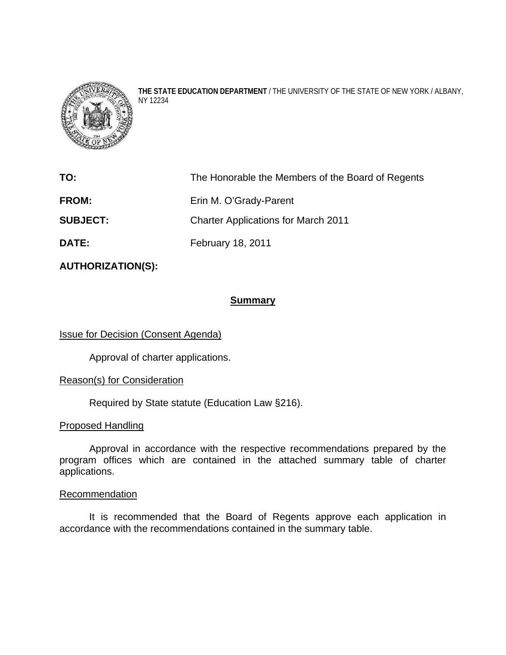

**THE STATE EDUCATION DEPARTMENT** / THE UNIVERSITY OF THE STATE OF NEW YORK / ALBANY, NY 12234

| TO:             | The Honorable the Members of the Board of Regents |
|-----------------|---------------------------------------------------|
| <b>FROM:</b>    | Erin M. O'Grady-Parent                            |
| <b>SUBJECT:</b> | <b>Charter Applications for March 2011</b>        |
| <b>DATE:</b>    | February 18, 2011                                 |

**AUTHORIZATION(S):** 

## **Summary**

Issue for Decision (Consent Agenda)

Approval of charter applications.

### Reason(s) for Consideration

Required by State statute (Education Law §216).

#### Proposed Handling

Approval in accordance with the respective recommendations prepared by the program offices which are contained in the attached summary table of charter applications.

#### Recommendation

It is recommended that the Board of Regents approve each application in accordance with the recommendations contained in the summary table.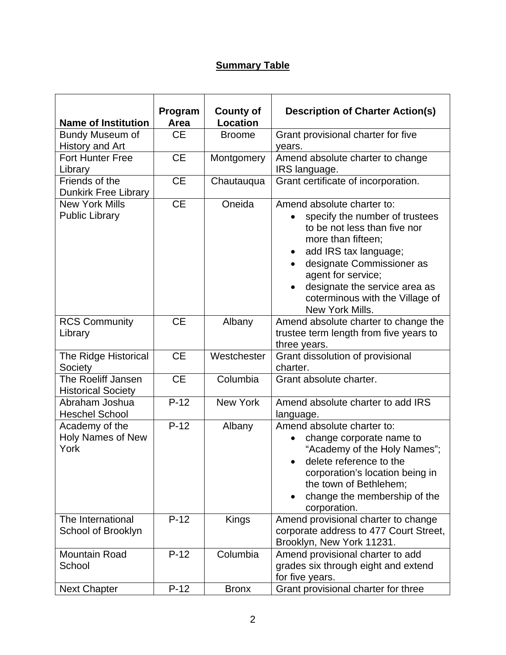# **Summary Table**

| <b>Name of Institution</b>                             | Program<br>Area | <b>County of</b><br><b>Location</b> | <b>Description of Charter Action(s)</b>                                                                                                                                                                                                                                               |
|--------------------------------------------------------|-----------------|-------------------------------------|---------------------------------------------------------------------------------------------------------------------------------------------------------------------------------------------------------------------------------------------------------------------------------------|
| <b>Bundy Museum of</b><br>History and Art              | <b>CE</b>       | <b>Broome</b>                       | Grant provisional charter for five<br>years.                                                                                                                                                                                                                                          |
| Fort Hunter Free<br>Library                            | <b>CE</b>       | Montgomery                          | Amend absolute charter to change<br>IRS language.                                                                                                                                                                                                                                     |
| Friends of the<br><b>Dunkirk Free Library</b>          | <b>CE</b>       | Chautauqua                          | Grant certificate of incorporation.                                                                                                                                                                                                                                                   |
| <b>New York Mills</b><br><b>Public Library</b>         | CE              | Oneida                              | Amend absolute charter to:<br>specify the number of trustees<br>to be not less than five nor<br>more than fifteen;<br>add IRS tax language;<br>designate Commissioner as<br>agent for service;<br>designate the service area as<br>coterminous with the Village of<br>New York Mills. |
| <b>RCS Community</b><br>Library                        | <b>CE</b>       | Albany                              | Amend absolute charter to change the<br>trustee term length from five years to<br>three years.                                                                                                                                                                                        |
| The Ridge Historical<br>Society                        | <b>CE</b>       | Westchester                         | Grant dissolution of provisional<br>charter.                                                                                                                                                                                                                                          |
| <b>The Roeliff Jansen</b><br><b>Historical Society</b> | <b>CE</b>       | Columbia                            | Grant absolute charter.                                                                                                                                                                                                                                                               |
| Abraham Joshua<br><b>Heschel School</b>                | $P-12$          | <b>New York</b>                     | Amend absolute charter to add IRS<br>language.                                                                                                                                                                                                                                        |
| Academy of the<br><b>Holy Names of New</b><br>York     | $P-12$          | Albany                              | Amend absolute charter to:<br>change corporate name to<br>"Academy of the Holy Names";<br>delete reference to the<br>corporation's location being in<br>the town of Bethlehem;<br>change the membership of the<br>corporation.                                                        |
| The International<br>School of Brooklyn                | $P-12$          | Kings                               | Amend provisional charter to change<br>corporate address to 477 Court Street,<br>Brooklyn, New York 11231.                                                                                                                                                                            |
| <b>Mountain Road</b><br>School                         | $P-12$          | Columbia                            | Amend provisional charter to add<br>grades six through eight and extend<br>for five years.                                                                                                                                                                                            |
| <b>Next Chapter</b>                                    | $P-12$          | <b>Bronx</b>                        | Grant provisional charter for three                                                                                                                                                                                                                                                   |